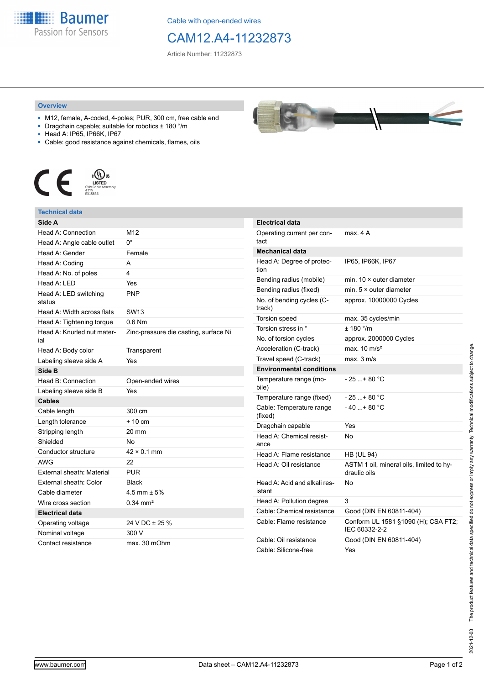**Baumer** Passion for Sensors

Cable with open-ended wires

## CAM12.A4-11232873

Article Number: 11232873

## **Overview**

- M12, female, A-coded, 4-poles; PUR, 300 cm, free cable end
- Dragchain capable; suitable for robotics ± 180 °/m
- Head A: IP65, IP66K, IP67
- Cable: good resistance against chemicals, flames, oils



## **Technical data**

| Side A                            |                                       |
|-----------------------------------|---------------------------------------|
| Head A: Connection                | M12                                   |
| Head A: Angle cable outlet        | n۰                                    |
| Head A: Gender                    | Female                                |
| Head A: Coding                    | A                                     |
| Head A: No. of poles              | 4                                     |
| Head A: LED                       | Yes                                   |
| Head A: LED switching<br>status   | <b>PNP</b>                            |
| Head A: Width across flats        | SW13                                  |
| Head A: Tightening torque         | $0.6$ Nm                              |
| Head A: Knurled nut mater-<br>ial | Zinc-pressure die casting, surface Ni |
| Head A: Body color                | Transparent                           |
| Labeling sleeve side A            | Yes                                   |
| Side B                            |                                       |
| Head B: Connection                | Open-ended wires                      |
| Labeling sleeve side B            | Yes                                   |
| <b>Cables</b>                     |                                       |
| Cable length                      | 300 cm                                |
| Length tolerance                  | $+10cm$                               |
| Stripping length                  | 20 mm                                 |
| Shielded                          | <b>No</b>                             |
| Conductor structure               | $42 \times 0.1$ mm                    |
| <b>AWG</b>                        | 22                                    |
| <b>External sheath: Material</b>  | PUR                                   |
| External sheath: Color            | <b>Black</b>                          |
| Cable diameter                    | 4.5 mm $\pm$ 5%                       |
| Wire cross section                | $0.34 \text{ mm}^2$                   |
| <b>Electrical data</b>            |                                       |
| Operating voltage                 | 24 V DC ± 25 %                        |
| Nominal voltage                   | 300 V                                 |
| Contact resistance                | max. 30 mOhm                          |



| <b>Electrical data</b>                 |                                                          |
|----------------------------------------|----------------------------------------------------------|
| Operating current per con-<br>tact     | max. 4 A                                                 |
| <b>Mechanical data</b>                 |                                                          |
| Head A: Degree of protec-<br>tion      | IP65, IP66K, IP67                                        |
| Bending radius (mobile)                | min. $10 \times$ outer diameter                          |
| Bending radius (fixed)                 | min. $5 \times$ outer diameter                           |
| No. of bending cycles (C-<br>track)    | approx. 10000000 Cycles                                  |
| Torsion speed                          | max. 35 cycles/min                                       |
| Torsion stress in °                    | ± 180 °/m                                                |
| No. of torsion cycles                  | approx. 2000000 Cycles                                   |
| Acceleration (C-track)                 | max. $10 \text{ m/s}^2$                                  |
| Travel speed (C-track)                 | max. 3 m/s                                               |
| <b>Environmental conditions</b>        |                                                          |
| Temperature range (mo-<br>bile)        | - 25 + 80 °C                                             |
| Temperature range (fixed)              | - 25 + 80 °C                                             |
| Cable: Temperature range<br>(fixed)    | $-40+80 °C$                                              |
| Dragchain capable                      | Yes                                                      |
| Head A: Chemical resist-<br>ance       | No                                                       |
| Head A: Flame resistance               | <b>HB (UL 94)</b>                                        |
| Head A: Oil resistance                 | ASTM 1 oil, mineral oils, limited to hy-<br>draulic oils |
| Head A: Acid and alkali res-<br>istant | No                                                       |
| Head A: Pollution degree               | 3                                                        |
| Cable: Chemical resistance             | Good (DIN EN 60811-404)                                  |
| Cable: Flame resistance                | Conform UL 1581 §1090 (H); CSA FT2;<br>IEC 60332-2-2     |
| Cable: Oil resistance                  | Good (DIN EN 60811-404)                                  |
| Cable: Silicone-free                   | Yes                                                      |